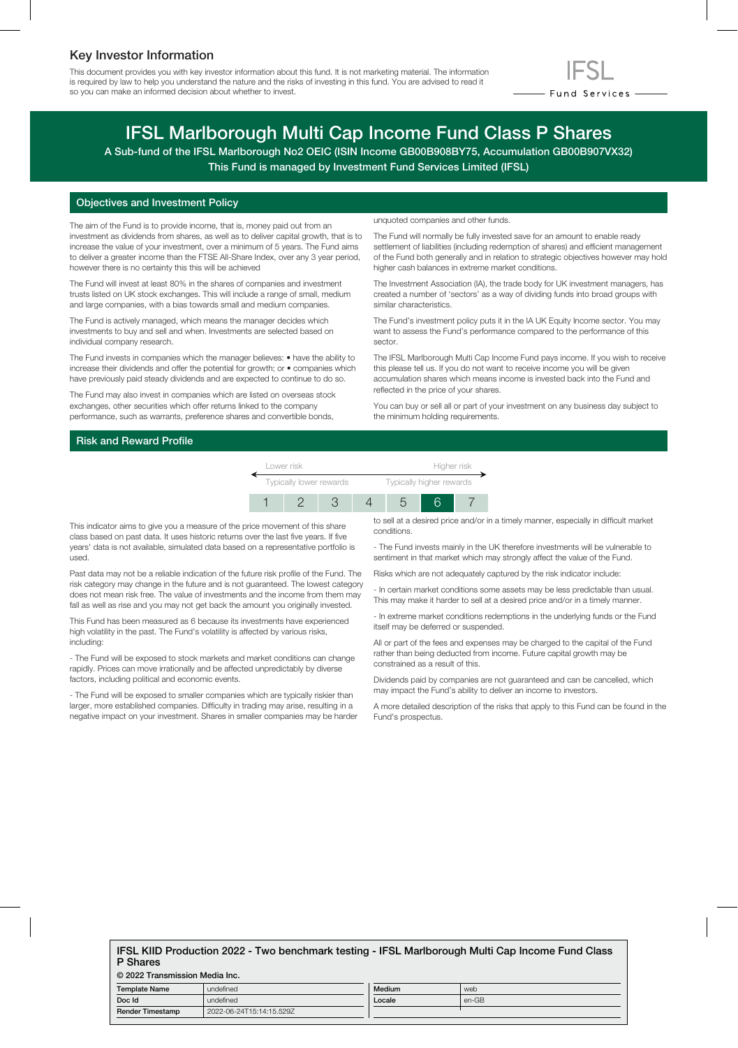## Key Investor Information

This document provides you with key investor information about this fund. It is not marketing material. The information is required by law to help you understand the nature and the risks of investing in this fund. You are advised to read it so you can make an informed decision about whether to invest.



# IFSL Marlborough Multi Cap Income Fund Class P Shares

A Sub-fund of the IFSL Marlborough No2 OEIC (ISIN Income GB00B908BY75, Accumulation GB00B907VX32) This Fund is managed by Investment Fund Services Limited (IFSL)

### Objectives and Investment Policy

The aim of the Fund is to provide income, that is, money paid out from an investment as dividends from shares, as well as to deliver capital growth, that is to increase the value of your investment, over a minimum of 5 years. The Fund aims to deliver a greater income than the FTSE All-Share Index, over any 3 year period, however there is no certainty this this will be achieved

The Fund will invest at least 80% in the shares of companies and investment trusts listed on UK stock exchanges. This will include a range of small, medium and large companies, with a bias towards small and medium companies.

The Fund is actively managed, which means the manager decides which investments to buy and sell and when. Investments are selected based on individual company research.

The Fund invests in companies which the manager believes: • have the ability to increase their dividends and offer the potential for growth; or • companies which have previously paid steady dividends and are expected to continue to do so.

The Fund may also invest in companies which are listed on overseas stock exchanges, other securities which offer returns linked to the company performance, such as warrants, preference shares and convertible bonds,

unquoted companies and other funds.

The Fund will normally be fully invested save for an amount to enable ready settlement of liabilities (including redemption of shares) and efficient management of the Fund both generally and in relation to strategic objectives however may hold higher cash balances in extreme market conditions.

The Investment Association (IA), the trade body for UK investment managers, has created a number of 'sectors' as a way of dividing funds into broad groups with similar characteristics.

The Fund's investment policy puts it in the IA UK Equity Income sector. You may want to assess the Fund's performance compared to the performance of this sector.

The IFSL Marlborough Multi Cap Income Fund pays income. If you wish to receive this please tell us. If you do not want to receive income you will be given accumulation shares which means income is invested back into the Fund and reflected in the price of your shares.

You can buy or sell all or part of your investment on any business day subject to the minimum holding requirements.

## Risk and Reward Profile



This indicator aims to give you a measure of the price movement of this share class based on past data. It uses historic returns over the last five years. If five years' data is not available, simulated data based on a representative portfolio is used.

Past data may not be a reliable indication of the future risk profile of the Fund. The risk category may change in the future and is not guaranteed. The lowest category does not mean risk free. The value of investments and the income from them may fall as well as rise and you may not get back the amount you originally invested.

This Fund has been measured as 6 because its investments have experienced high volatility in the past. The Fund's volatility is affected by various risks, including:

- The Fund will be exposed to stock markets and market conditions can change rapidly. Prices can move irrationally and be affected unpredictably by diverse factors, including political and economic events.

- The Fund will be exposed to smaller companies which are typically riskier than larger, more established companies. Difficulty in trading may arise, resulting in a negative impact on your investment. Shares in smaller companies may be harder to sell at a desired price and/or in a timely manner, especially in difficult market conditions.

- The Fund invests mainly in the UK therefore investments will be vulnerable to sentiment in that market which may strongly affect the value of the Fund.

Risks which are not adequately captured by the risk indicator include:

- In certain market conditions some assets may be less predictable than usual. This may make it harder to sell at a desired price and/or in a timely manner.

- In extreme market conditions redemptions in the underlying funds or the Fund itself may be deferred or suspended.

All or part of the fees and expenses may be charged to the capital of the Fund rather than being deducted from income. Future capital growth may be constrained as a result of this.

Dividends paid by companies are not guaranteed and can be cancelled, which may impact the Fund's ability to deliver an income to investors.

A more detailed description of the risks that apply to this Fund can be found in the Fund's prospectus.